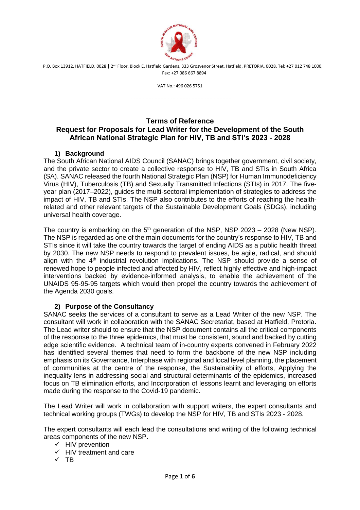

VAT No.: 496 026 5751

---------------------------------------------------------------------

# **Terms of Reference Request for Proposals for Lead Writer for the Development of the South African National Strategic Plan for HIV, TB and STI's 2023 - 2028**

# **1) Background**

The South African National AIDS Council (SANAC) brings together government, civil society, and the private sector to create a collective response to HIV, TB and STIs in South Africa (SA). SANAC released the fourth National Strategic Plan (NSP) for Human Immunodeficiency Virus (HIV), Tuberculosis (TB) and Sexually Transmitted Infections (STIs) in 2017. The fiveyear plan (2017–2022), guides the multi-sectoral implementation of strategies to address the impact of HIV, TB and STIs. The NSP also contributes to the efforts of reaching the healthrelated and other relevant targets of the Sustainable Development Goals (SDGs), including universal health coverage.

The country is embarking on the  $5<sup>th</sup>$  generation of the NSP, NSP 2023 – 2028 (New NSP). The NSP is regarded as one of the main documents for the country's response to HIV, TB and STIs since it will take the country towards the target of ending AIDS as a public health threat by 2030. The new NSP needs to respond to prevalent issues, be agile, radical, and should align with the  $4<sup>th</sup>$  industrial revolution implications. The NSP should provide a sense of renewed hope to people infected and affected by HIV, reflect highly effective and high-impact interventions backed by evidence-informed analysis, to enable the achievement of the UNAIDS 95-95-95 targets which would then propel the country towards the achievement of the Agenda 2030 goals.

## **2) Purpose of the Consultancy**

SANAC seeks the services of a consultant to serve as a Lead Writer of the new NSP. The consultant will work in collaboration with the SANAC Secretariat, based at Hatfield, Pretoria. The Lead writer should to ensure that the NSP document contains all the critical components of the response to the three epidemics, that must be consistent, sound and backed by cutting edge scientific evidence. A technical team of in-country experts convened in February 2022 has identified several themes that need to form the backbone of the new NSP including emphasis on its Governance, Interphase with regional and local level planning, the placement of communities at the centre of the response, the Sustainability of efforts, Applying the inequality lens in addressing social and structural determinants of the epidemics, increased focus on TB elimination efforts, and Incorporation of lessons learnt and leveraging on efforts made during the response to the Covid-19 pandemic.

The Lead Writer will work in collaboration with support writers, the expert consultants and technical working groups (TWGs) to develop the NSP for HIV, TB and STIs 2023 - 2028.

The expert consultants will each lead the consultations and writing of the following technical areas components of the new NSP.

- $\checkmark$  HIV prevention
- $\checkmark$  HIV treatment and care
- $\checkmark$  TB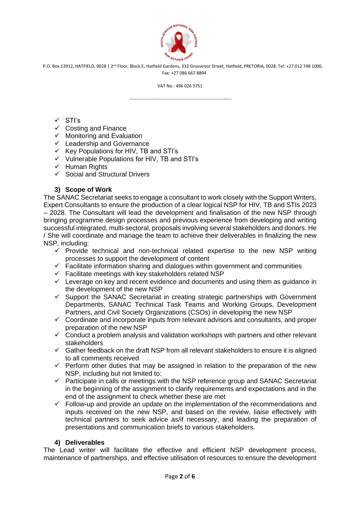

VAT No.: 496 026 5751

---------------------------------------------------------------------

### ✓ STI's

- $\checkmark$  Costing and Finance
- ✓ Monitoring and Evaluation
- $\checkmark$  Leadership and Governance
- ✓ Key Populations for HIV, TB and STI's
- ✓ Vulnerable Populations for HIV, TB and STI's
- ✓ Human Rights
- $\checkmark$  Social and Structural Drivers

### **3) Scope of Work**

The SANAC Secretariat seeks to engage a consultant to work closely with the Support Writers, Expert Consultants to ensure the production of a clear logical NSP for HIV, TB and STIs 2023 – 2028. The Consultant will lead the development and finalisation of the new NSP through bringing programme design processes and previous experience from developing and writing successful integrated, multi-sectoral, proposals involving several stakeholders and donors. He / She will coordinate and manage the team to achieve their deliverables in finalizing the new NSP, including:

- ✓ Provide technical and non-technical related expertise to the new NSP writing processes to support the development of content
- ✓ Facilitate information sharing and dialogues within government and communities
- $\checkmark$  Facilitate meetings with key stakeholders related NSP
- $\checkmark$  Leverage on key and recent evidence and documents and using them as guidance in the development of the new NSP
- ✓ Support the SANAC Secretariat in creating strategic partnerships with Government Departments, SANAC Technical Task Teams and Working Groups, Development Partners, and Civil Society Organizations (CSOs) in developing the new NSP
- $\checkmark$  Coordinate and incorporate inputs from relevant advisors and consultants, and proper preparation of the new NSP
- $\checkmark$  Conduct a problem analysis and validation workshops with partners and other relevant stakeholders
- ✓ Gather feedback on the draft NSP from all relevant stakeholders to ensure it is aligned to all comments received
- $\checkmark$  Perform other duties that may be assigned in relation to the preparation of the new NSP, including but not limited to:
- $\checkmark$  Participate in calls or meetings with the NSP reference group and SANAC Secretariat in the beginning of the assignment to clarify requirements and expectations and in the end of the assignment to check whether these are met
- $\checkmark$  Follow-up and provide an update on the implementation of the recommendations and inputs received on the new NSP, and based on the review, liaise effectively with technical partners to seek advice as/if necessary, and leading the preparation of presentations and communication briefs to various stakeholders.

#### **4) Deliverables**

The Lead writer will facilitate the effective and efficient NSP development process, maintenance of partnerships, and effective utilisation of resources to ensure the development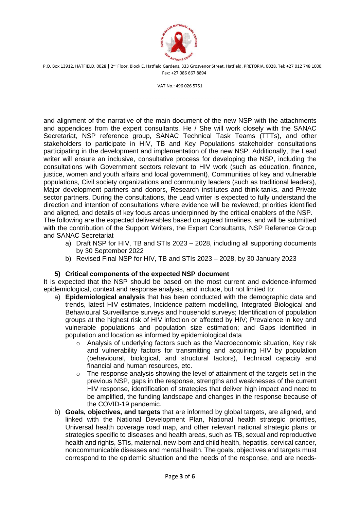

VAT No.: 496 026 5751

---------------------------------------------------------------------

and alignment of the narrative of the main document of the new NSP with the attachments and appendices from the expert consultants. He / She will work closely with the SANAC Secretariat, NSP reference group, SANAC Technical Task Teams (TTTs), and other stakeholders to participate in HIV, TB and Key Populations stakeholder consultations participating in the development and implementation of the new NSP. Additionally, the Lead writer will ensure an inclusive, consultative process for developing the NSP, including the consultations with Government sectors relevant to HIV work (such as education, finance, justice, women and youth affairs and local government), Communities of key and vulnerable populations, Civil society organizations and community leaders (such as traditional leaders), Major development partners and donors, Research institutes and think-tanks, and Private sector partners. During the consultations, the Lead writer is expected to fully understand the direction and intention of consultations where evidence will be reviewed; priorities identified and aligned, and details of key focus areas underpinned by the critical enablers of the NSP. The following are the expected deliverables based on agreed timelines, and will be submitted with the contribution of the Support Writers, the Expert Consultants, NSP Reference Group and SANAC Secretariat

- a) Draft NSP for HIV, TB and STIs 2023 2028, including all supporting documents by 30 September 2022
- b) Revised Final NSP for HIV, TB and STIs 2023 2028, by 30 January 2023

## **5) Critical components of the expected NSP document**

It is expected that the NSP should be based on the most current and evidence-informed epidemiological, context and response analysis, and include, but not limited to:

- a) **Epidemiological analysis** that has been conducted with the demographic data and trends, latest HIV estimates, Incidence pattern modelling, Integrated Biological and Behavioural Surveillance surveys and household surveys; Identification of population groups at the highest risk of HIV infection or affected by HIV; Prevalence in key and vulnerable populations and population size estimation; and Gaps identified in population and location as informed by epidemiological data
	- $\circ$  Analysis of underlying factors such as the Macroeconomic situation, Key risk and vulnerability factors for transmitting and acquiring HIV by population (behavioural, biological, and structural factors), Technical capacity and financial and human resources, etc.
	- $\circ$  The response analysis showing the level of attainment of the targets set in the previous NSP, gaps in the response, strengths and weaknesses of the current HIV response, identification of strategies that deliver high impact and need to be amplified, the funding landscape and changes in the response because of the COVID-19 pandemic.
- b) **Goals, objectives, and targets** that are informed by global targets, are aligned, and linked with the National Development Plan, National health strategic priorities, Universal health coverage road map, and other relevant national strategic plans or strategies specific to diseases and health areas, such as TB, sexual and reproductive health and rights, STIs, maternal, new-born and child health, hepatitis, cervical cancer, noncommunicable diseases and mental health. The goals, objectives and targets must correspond to the epidemic situation and the needs of the response, and are needs-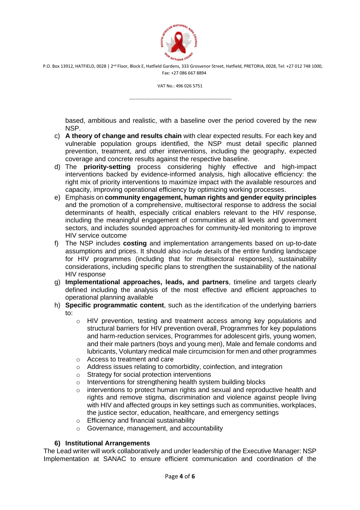

VAT No.: 496 026 5751

---------------------------------------------------------------------

based, ambitious and realistic, with a baseline over the period covered by the new NSP.

- c) **A theory of change and results chain** with clear expected results. For each key and vulnerable population groups identified, the NSP must detail specific planned prevention, treatment, and other interventions, including the geography, expected coverage and concrete results against the respective baseline.
- d) The **priority-setting** process considering highly effective and high-impact interventions backed by evidence-informed analysis, high allocative efficiency: the right mix of priority interventions to maximize impact with the available resources and capacity, improving operational efficiency by optimizing working processes.
- e) Emphasis on **community engagement, human rights and gender equity principles** and the promotion of a comprehensive, multisectoral response to address the social determinants of health, especially critical enablers relevant to the HIV response, including the meaningful engagement of communities at all levels and government sectors, and includes sounded approaches for community-led monitoring to improve HIV service outcome
- f) The NSP includes **costing** and implementation arrangements based on up-to-date assumptions and prices. It should also include details of the entire funding landscape for HIV programmes (including that for multisectoral responses), sustainability considerations, including specific plans to strengthen the sustainability of the national HIV response
- g) **Implementational approaches, leads, and partners**, timeline and targets clearly defined including the analysis of the most effective and efficient approaches to operational planning available
- h) **Specific programmatic content**, such as the identification of the underlying barriers to:
	- o HIV prevention, testing and treatment access among key populations and structural barriers for HIV prevention overall, Programmes for key populations and harm-reduction services, Programmes for adolescent girls, young women, and their male partners (boys and young men), Male and female condoms and lubricants, Voluntary medical male circumcision for men and other programmes
	- o Access to treatment and care
	- o Address issues relating to comorbidity, coinfection, and integration
	- o Strategy for social protection interventions
	- o Interventions for strengthening health system building blocks
	- o interventions to protect human rights and sexual and reproductive health and rights and remove stigma, discrimination and violence against people living with HIV and affected groups in key settings such as communities, workplaces, the justice sector, education, healthcare, and emergency settings
	- o Efficiency and financial sustainability
	- o Governance, management, and accountability

#### **6) Institutional Arrangements**

The Lead writer will work collaboratively and under leadership of the Executive Manager: NSP Implementation at SANAC to ensure efficient communication and coordination of the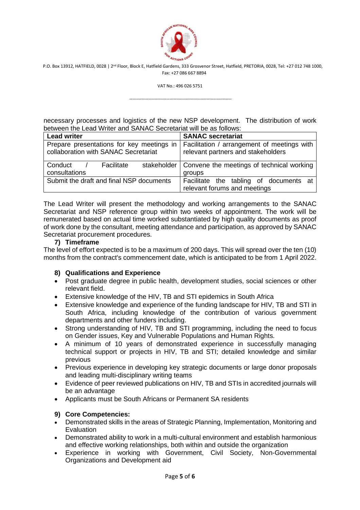

VAT No.: 496 026 5751

---------------------------------------------------------------------

necessary processes and logistics of the new NSP development. The distribution of work between the Lead Writer and SANAC Secretariat will be as follows:

| <b>Lead writer</b>                                                                | <b>SANAC secretariat</b>                                                          |
|-----------------------------------------------------------------------------------|-----------------------------------------------------------------------------------|
| Prepare presentations for key meetings in<br>collaboration with SANAC Secretariat | Facilitation / arrangement of meetings with<br>relevant partners and stakeholders |
| Conduct /<br>Facilitate                                                           | stakeholder   Convene the meetings of technical working                           |
| consultations                                                                     | groups                                                                            |
| Submit the draft and final NSP documents                                          | Facilitate the tabling of documents at                                            |
|                                                                                   | relevant forums and meetings                                                      |

The Lead Writer will present the methodology and working arrangements to the SANAC Secretariat and NSP reference group within two weeks of appointment. The work will be remunerated based on actual time worked substantiated by high quality documents as proof of work done by the consultant, meeting attendance and participation, as approved by SANAC Secretariat procurement procedures.

## **7) Timeframe**

The level of effort expected is to be a maximum of 200 days. This will spread over the ten (10) months from the contract's commencement date, which is anticipated to be from 1 April 2022.

## **8) Qualifications and Experience**

- Post graduate degree in public health, development studies, social sciences or other relevant field.
- Extensive knowledge of the HIV, TB and STI epidemics in South Africa
- Extensive knowledge and experience of the funding landscape for HIV, TB and STI in South Africa, including knowledge of the contribution of various government departments and other funders including.
- Strong understanding of HIV, TB and STI programming, including the need to focus on Gender issues, Key and Vulnerable Populations and Human Rights.
- A minimum of 10 years of demonstrated experience in successfully managing technical support or projects in HIV, TB and STI; detailed knowledge and similar previous
- Previous experience in developing key strategic documents or large donor proposals and leading multi-disciplinary writing teams
- Evidence of peer reviewed publications on HIV, TB and STIs in accredited journals will be an advantage
- Applicants must be South Africans or Permanent SA residents

## **9) Core Competencies:**

- Demonstrated skills in the areas of Strategic Planning, Implementation, Monitoring and Evaluation
- Demonstrated ability to work in a multi-cultural environment and establish harmonious and effective working relationships, both within and outside the organization
- Experience in working with Government, Civil Society, Non-Governmental Organizations and Development aid